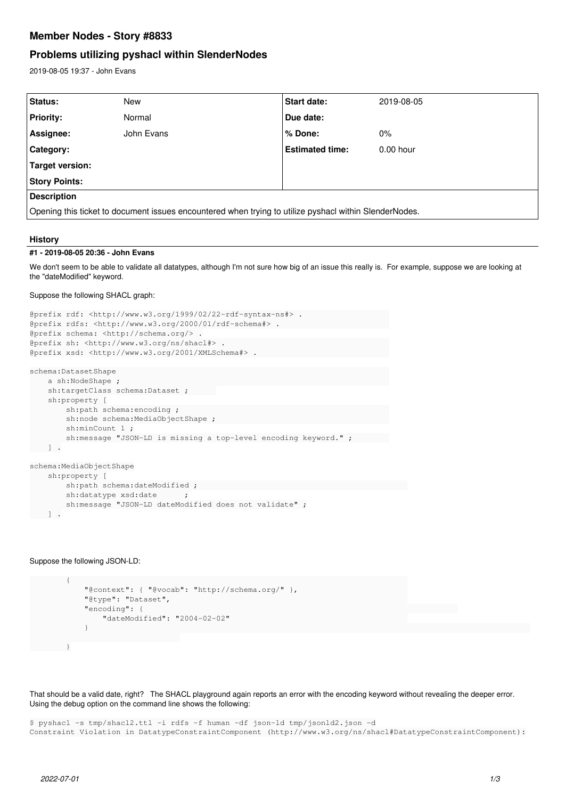# **Member Nodes - Story #8833**

# **Problems utilizing pyshacl within SlenderNodes**

2019-08-05 19:37 - John Evans

| Status:                                                                                                | <b>New</b> | Start date:            | 2019-08-05  |
|--------------------------------------------------------------------------------------------------------|------------|------------------------|-------------|
| <b>Priority:</b>                                                                                       | Normal     | Due date:              |             |
| Assignee:                                                                                              | John Evans | % Done:                | $0\%$       |
| Category:                                                                                              |            | <b>Estimated time:</b> | $0.00$ hour |
| Target version:                                                                                        |            |                        |             |
| <b>Story Points:</b>                                                                                   |            |                        |             |
| <b>Description</b>                                                                                     |            |                        |             |
| Opening this ticket to document issues encountered when trying to utilize pyshacl within SlenderNodes. |            |                        |             |

# **History**

# **#1 - 2019-08-05 20:36 - John Evans**

We don't seem to be able to validate all datatypes, although I'm not sure how big of an issue this really is. For example, suppose we are looking at the "dateModified" keyword.

# Suppose the following SHACL graph:

```
@prefix rdf: <http://www.w3.org/1999/02/22-rdf-syntax-ns#> .                   
@prefix rdfs: <http://www.w3.org/2000/01/rdf-schema#> .                        
@prefix schema: <http://schema.org/> .
@prefix sh: <http://www.w3.org/ns/shacl#> .                                    
@prefix xsd: <http://www.w3.org/2001/XMLSchema#> .                             
schema:DatasetShape                                                            
          a sh:NodeShape ;                                                           
          sh:targetClass schema:Dataset ;      
          sh:property [
            sh:path schema: encoding ;
                    sh:node schema:MediaObjectShape ;                                      
                   sh:minCount 1 ;
                    sh:message "JSON-LD is missing a top-level encoding keyword." ;        
 \Boxschema:MediaObjectShape
          sh:property [
                    sh:path schema:dateModified ;                                              
            sh:datatype xsd:date ;
                    sh:message "JSON-LD dateModified does not validate" ;
 \Box
```
# Suppose the following JSON-LD:

```
\{ \{ \} \{ \} \{ \} \{ \} \{ \} \{ \} \{ \} \{ \} \{ \} \{ \} \{ \} \{ \} \{ \} \{ \} \{ \} \{ \} \{ \} \{ \} \{ \} \{ \} \{ \} \{             "@context": { "@vocab": "http://schema.org/" },                        
                              "@type": "Dataset",                                                    
                              "encoding": {                                                                     
                                         "dateModified": "2004-02-02"                                       
}<br>}
        }
```
That should be a valid date, right? The SHACL playground again reports an error with the encoding keyword without revealing the deeper error. Using the debug option on the command line shows the following:

\$ pyshacl -s tmp/shacl2.ttl -i rdfs -f human -df json-ld tmp/jsonld2.json -d Constraint Violation in DatatypeConstraintComponent (http://www.w3.org/ns/shacl#DatatypeConstraintComponent):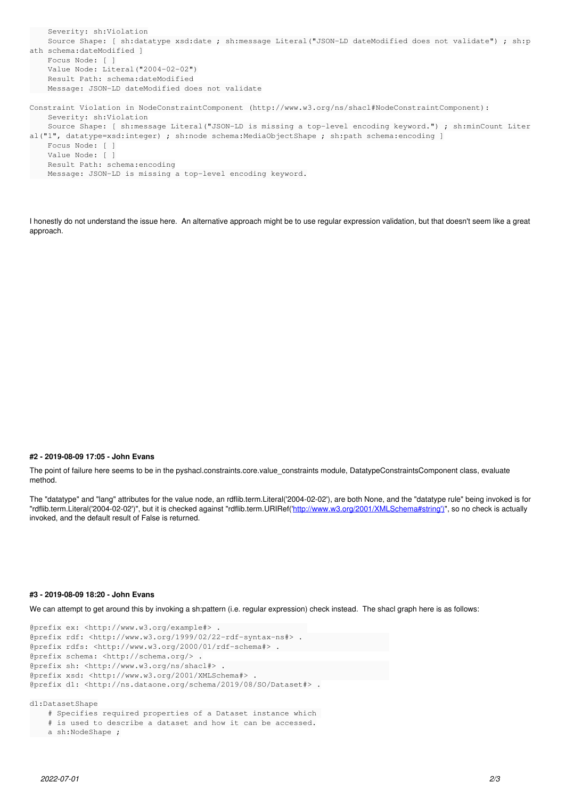```
    Severity: sh:Violation
        Source Shape: [ sh:datatype xsd:date ; sh:message Literal("JSON-LD dateModified does not validate") ; sh:p
ath schema:dateModified ]
        Focus Node: [ ]
        Value Node: Literal("2004-02-02")
        Result Path: schema:dateModified
       Message: JSON-LD dateModified does not validate
Constraint Violation in NodeConstraintComponent (http://www.w3.org/ns/shacl#NodeConstraintComponent):
        Severity: sh:Violation
        Source Shape: [ sh:message Literal("JSON-LD is missing a top-level encoding keyword.") ; sh:minCount Liter
al("1", datatype=xsd:integer) ; sh:node schema:MediaObjectShape ; sh:path schema:encoding ]
        Focus Node: [ ]
        Value Node: [ ]
        Result Path: schema:encoding
```

```
    Message: JSON-LD is missing a top-level encoding keyword.
```
I honestly do not understand the issue here. An alternative approach might be to use regular expression validation, but that doesn't seem like a great approach.

### **#2 - 2019-08-09 17:05 - John Evans**

The point of failure here seems to be in the pyshacl.constraints.core.value\_constraints module, DatatypeConstraintsComponent class, evaluate method.

The "datatype" and "lang" attributes for the value node, an rdflib.term.Literal('2004-02-02'), are both None, and the "datatype rule" being invoked is for "rdflib.term.Literal('2004-02-02')", but it is checked against "rdflib.term.URIRef('[http://www.w3.org/2001/XMLSchema#string'\)"](http://www.w3.org/2001/XMLSchema#string), so no check is actually invoked, and the default result of False is returned.

#### **#3 - 2019-08-09 18:20 - John Evans**

We can attempt to get around this by invoking a sh:pattern (i.e. regular expression) check instead. The shacl graph here is as follows:

```
@prefix ex: <http://www.w3.org/example#> .                   
@prefix rdf: <http://www.w3.org/1999/02/22-rdf-syntax-ns#> .                   
@prefix rdfs: <http://www.w3.org/2000/01/rdf-schema#> .                        
@prefix schema: <http://schema.org/> .
@prefix sh: <http://www.w3.org/ns/shacl#> .                                    
@prefix xsd: <http://www.w3.org/2001/XMLSchema#> .                             
@prefix d1: <http://ns.dataone.org/schema/2019/08/SO/Dataset#> .
d1:DatasetShape
        # Specifies required properties of a Dataset instance which 
         # is used to describe a dataset and how it can be accessed.
```

```
    a sh:NodeShape ;
```